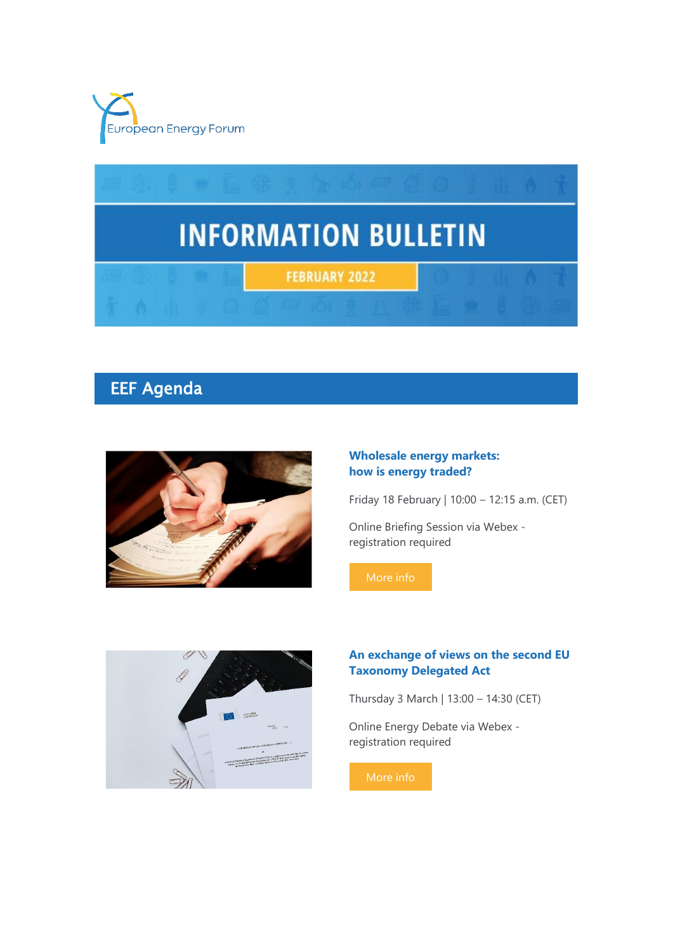



# EEF Agenda



### **Wholesale energy markets: how is energy traded?**

Friday 18 February | 10:00 – 12:15 a.m. (CET)

Online Briefing Session via Webex registration required



### **An exchange of views on the second EU Taxonomy Delegated Act**

Thursday 3 March | 13:00 – 14:30 (CET)

Online Energy Debate via Webex registration required

[More info](https://7n8k7.r.a.d.sendibm1.com/mk/cl/f/phpgJlyd7ixwWbQn2kgJtD97IdgIi54kCsabt9wZPe-yYpzZthhpeGLHHADuVaY6-HzkMoZM2OOcRU6X5iL06R0OZk7tQubz7HI_iNqqghZsfazA9N4gkx5TOrWKD-_aliZ7XiI00tRiFp7gvHrXRLhvZoiKBS0j9BeuvSKVtthoOmbjAMyV_tRwMrwz7vm2gPusY8sM94yyGbDdNfRimFTWRsNhV_zak8FW4LPXfxXKOZMyuVgDhy3R-PkaAm4n7RdusifuuMr4-_oJ_Hrx)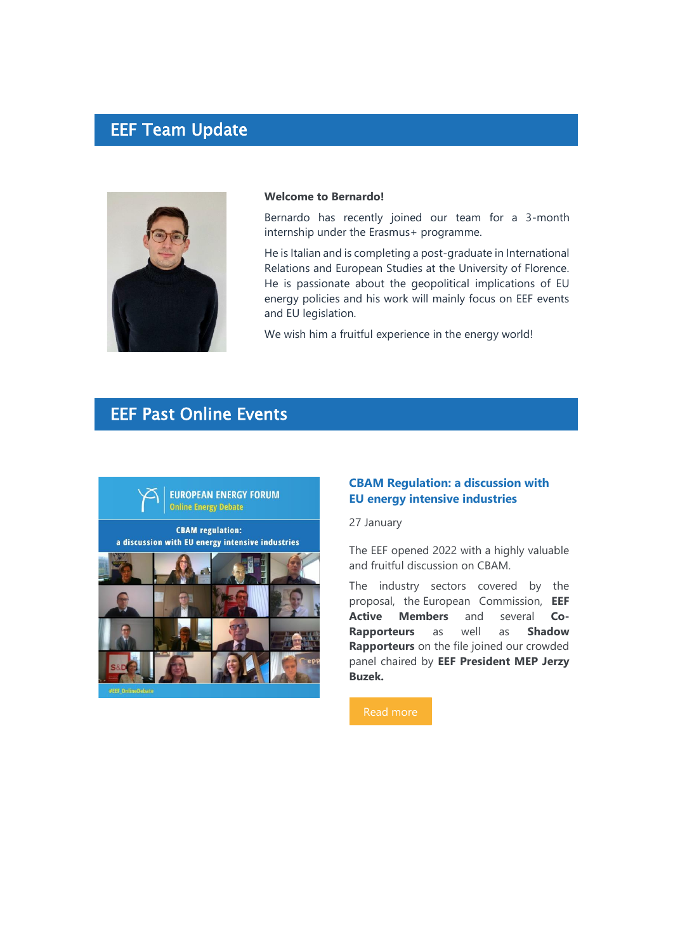### EEF Team Update



#### **Welcome to Bernardo!**

Bernardo has recently joined our team for a 3-month internship under the Erasmus+ programme.

He is Italian and is completing a post-graduate in International Relations and European Studies at the University of Florence. He is passionate about the geopolitical implications of EU energy policies and his work will mainly focus on EEF events and EU legislation.

We wish him a fruitful experience in the energy world!

# EEF Past Online Events



### **CBAM Regulation: a discussion with EU energy intensive industries**

27 January

The EEF opened 2022 with a highly valuable and fruitful discussion on CBAM.

The industry sectors covered by the proposal, the European Commission, **EEF Active Members** and several **Co-Rapporteurs** as well as **Shadow Rapporteurs** on the file joined our crowded panel chaired by **EEF President MEP Jerzy Buzek.**

[Read more](https://7n8k7.r.a.d.sendibm1.com/mk/cl/f/Eh1afV2sjcM1ySJJr3tCcwaM_FI6fo9yg4kLbaqWi493IKW8E2lbYRYP0z4FJZ9kp3aIMzpNv_U_-oWL4z68w4JrUB-n_gASMtZRNo3R7l_IZhAUZwUi7dHXc4dbo-BG9qAYKdToBMxwi_FxkgBEBLVr3plc1VXzoPWS7owm6cJgAgAn68ItbH5k_7j77dQNo_wM7iA0Kzwq0ETiAMS-dkdg0toGFlOGP3fC3ziah8oVCQ8r5bAgS8swmoHEZk7ERke4Zs7pBgyLvAoCeihUgMrChTpsSbqBzg)